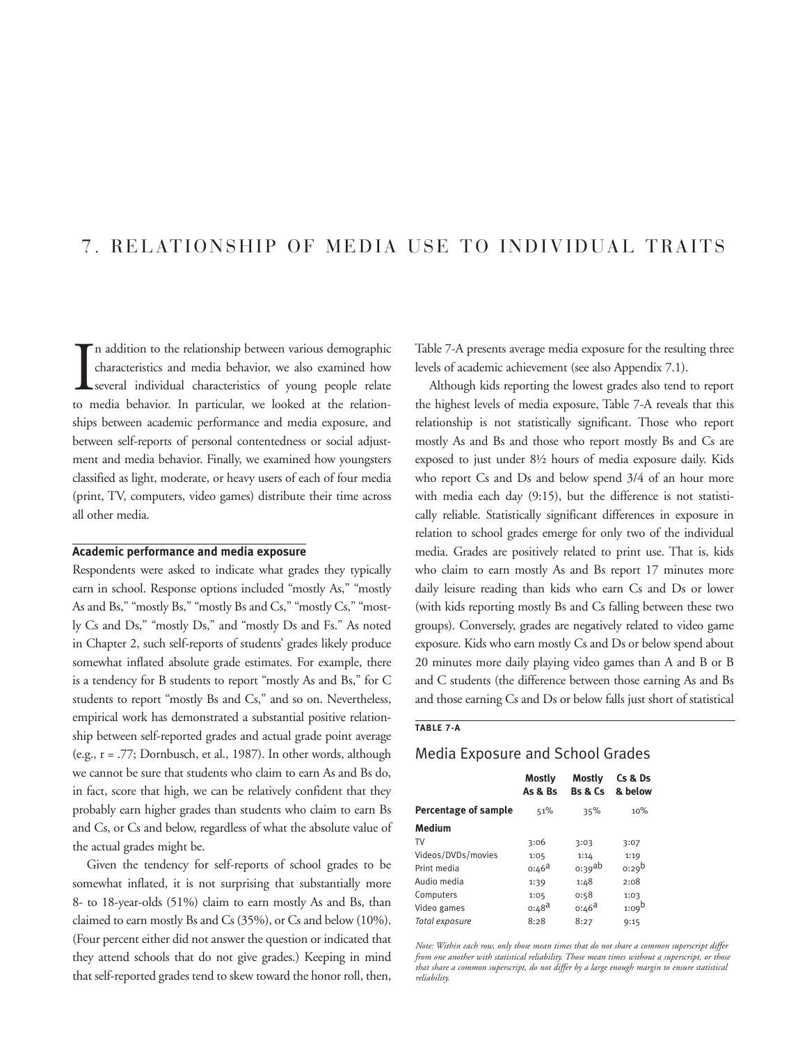# 7. RELATIONSHIP OF MEDIA USE TO INDIVIDUAL TRAITS

In addition to the relationship between various demographic characteristics and media behavior, we also examined how several individual characteristics of young people relate to media behavior. In particular, we looked at n addition to the relationship between various demographic characteristics and media behavior, we also examined how several individual characteristics of young people relate ships between academic performance and media exposure, and between self-reports of personal contentedness or social adjustment and media behavior. Finally, we examined how youngsters classified as light, moderate, or heavy users of each of four media (print, TV, computers, video games) distribute their time across all other media.

## **Academic performance and media exposure**

Respondents were asked to indicate what grades they typically earn in school. Response options included "mostly As," "mostly As and Bs," "mostly Bs," "mostly Bs and Cs," "mostly Cs," "mostly Cs and Ds," "mostly Ds," and "mostly Ds and Fs." As noted in Chapter 2, such self-reports of students' grades likely produce somewhat inflated absolute grade estimates. For example, there is a tendency for B students to report "mostly As and Bs," for C students to report "mostly Bs and Cs," and so on. Nevertheless, empirical work has demonstrated a substantial positive relationship between self-reported grades and actual grade point average (e.g., r = .77; Dornbusch, et al., 1987). In other words, although we cannot be sure that students who claim to earn As and Bs do, in fact, score that high, we can be relatively confident that they probably earn higher grades than students who claim to earn Bs and Cs, or Cs and below, regardless of what the absolute value of the actual grades might be.

Given the tendency for self-reports of school grades to be somewhat inflated, it is not surprising that substantially more 8- to 18-year-olds (51%) claim to earn mostly As and Bs, than claimed to earn mostly Bs and Cs (35%), or Cs and below (10%). (Four percent either did not answer the question or indicated that they attend schools that do not give grades.) Keeping in mind that self-reported grades tend to skew toward the honor roll, then, Table 7-A presents average media exposure for the resulting three levels of academic achievement (see also Appendix 7.1).

Although kids reporting the lowest grades also tend to report the highest levels of media exposure, Table 7-A reveals that this relationship is not statistically significant. Those who report mostly As and Bs and those who report mostly Bs and Cs are exposed to just under 8½ hours of media exposure daily. Kids who report Cs and Ds and below spend 3/4 of an hour more with media each day (9:15), but the difference is not statistically reliable. Statistically significant differences in exposure in relation to school grades emerge for only two of the individual media. Grades are positively related to print use. That is, kids who claim to earn mostly As and Bs report 17 minutes more daily leisure reading than kids who earn Cs and Ds or lower (with kids reporting mostly Bs and Cs falling between these two groups). Conversely, grades are negatively related to video game exposure. Kids who earn mostly Cs and Ds or below spend about 20 minutes more daily playing video games than A and B or B and C students (the difference between those earning As and Bs and those earning Cs and Ds or below falls just short of statistical

#### **TABLE 7-A**

# Media Exposure and School Grades

|                      | Mostly<br>As & Bs | Mostly<br><b>Bs &amp; Cs</b> | Cs & Ds<br>& below |
|----------------------|-------------------|------------------------------|--------------------|
| Percentage of sample | 51%               | 35%                          | 10%                |
| Medium               |                   |                              |                    |
| TV                   | 3:06              | 3:03                         | 3:07               |
| Videos/DVDs/movies   | 1:05              | 1:14                         | 1:19               |
| Print media          | $0:46^{\text{a}}$ | $0.39$ ab                    | $0:29^b$           |
| Audio media          | 1:39              | 1:48                         | 2:08               |
| Computers            | 1:05              | 0:58                         | 1:03               |
| Video games          | $0:48^{\text{d}}$ | $0:46^{\text{a}}$            | 1:09 <sup>b</sup>  |
| Total exposure       | 8:28              | 8:27                         | 9:15               |

*Note: Within each row, only those mean times that do not share a common superscript differ from one another with statistical reliability. Those mean times without a superscript, or those that share a common superscript, do not differ by a large enough margin to ensure statistical reliability.*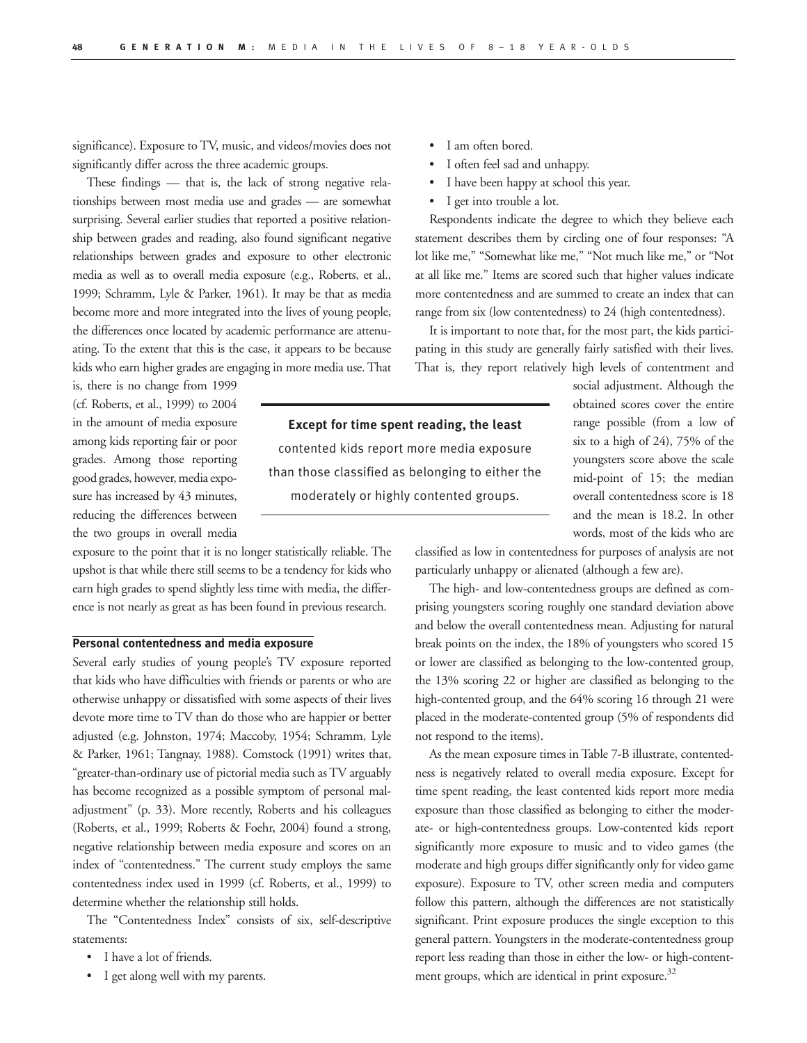significance). Exposure to TV, music, and videos/movies does not significantly differ across the three academic groups.

These findings — that is, the lack of strong negative relationships between most media use and grades — are somewhat surprising. Several earlier studies that reported a positive relationship between grades and reading, also found significant negative relationships between grades and exposure to other electronic media as well as to overall media exposure (e.g., Roberts, et al., 1999; Schramm, Lyle & Parker, 1961). It may be that as media become more and more integrated into the lives of young people, the differences once located by academic performance are attenuating. To the extent that this is the case, it appears to be because kids who earn higher grades are engaging in more media use. That

is, there is no change from 1999 (cf. Roberts, et al., 1999) to 2004 in the amount of media exposure among kids reporting fair or poor grades. Among those reporting good grades, however, media exposure has increased by 43 minutes, reducing the differences between the two groups in overall media

exposure to the point that it is no longer statistically reliable. The upshot is that while there still seems to be a tendency for kids who earn high grades to spend slightly less time with media, the difference is not nearly as great as has been found in previous research.

# **Personal contentedness and media exposure**

Several early studies of young people's TV exposure reported that kids who have difficulties with friends or parents or who are otherwise unhappy or dissatisfied with some aspects of their lives devote more time to TV than do those who are happier or better adjusted (e.g. Johnston, 1974; Maccoby, 1954; Schramm, Lyle & Parker, 1961; Tangnay, 1988). Comstock (1991) writes that, "greater-than-ordinary use of pictorial media such as TV arguably has become recognized as a possible symptom of personal maladjustment" (p. 33). More recently, Roberts and his colleagues (Roberts, et al., 1999; Roberts & Foehr, 2004) found a strong, negative relationship between media exposure and scores on an index of "contentedness." The current study employs the same contentedness index used in 1999 (cf. Roberts, et al., 1999) to determine whether the relationship still holds.

The "Contentedness Index" consists of six, self-descriptive statements:

- I have a lot of friends.
- I get along well with my parents.
- I am often bored.
- I often feel sad and unhappy.
- I have been happy at school this year.
- I get into trouble a lot.

Respondents indicate the degree to which they believe each statement describes them by circling one of four responses: "A lot like me," "Somewhat like me," "Not much like me," or "Not at all like me." Items are scored such that higher values indicate more contentedness and are summed to create an index that can range from six (low contentedness) to 24 (high contentedness).

It is important to note that, for the most part, the kids participating in this study are generally fairly satisfied with their lives. That is, they report relatively high levels of contentment and

**Except for time spent reading, the least**  contented kids report more media exposure than those classified as belonging to either the moderately or highly contented groups.

social adjustment. Although the obtained scores cover the entire range possible (from a low of six to a high of 24), 75% of the youngsters score above the scale mid-point of 15; the median overall contentedness score is 18 and the mean is 18.2. In other words, most of the kids who are

classified as low in contentedness for purposes of analysis are not particularly unhappy or alienated (although a few are).

The high- and low-contentedness groups are defined as comprising youngsters scoring roughly one standard deviation above and below the overall contentedness mean. Adjusting for natural break points on the index, the 18% of youngsters who scored 15 or lower are classified as belonging to the low-contented group, the 13% scoring 22 or higher are classified as belonging to the high-contented group, and the 64% scoring 16 through 21 were placed in the moderate-contented group (5% of respondents did not respond to the items).

As the mean exposure times in Table 7-B illustrate, contentedness is negatively related to overall media exposure. Except for time spent reading, the least contented kids report more media exposure than those classified as belonging to either the moderate- or high-contentedness groups. Low-contented kids report significantly more exposure to music and to video games (the moderate and high groups differ significantly only for video game exposure). Exposure to TV, other screen media and computers follow this pattern, although the differences are not statistically significant. Print exposure produces the single exception to this general pattern. Youngsters in the moderate-contentedness group report less reading than those in either the low- or high-contentment groups, which are identical in print exposure. $32$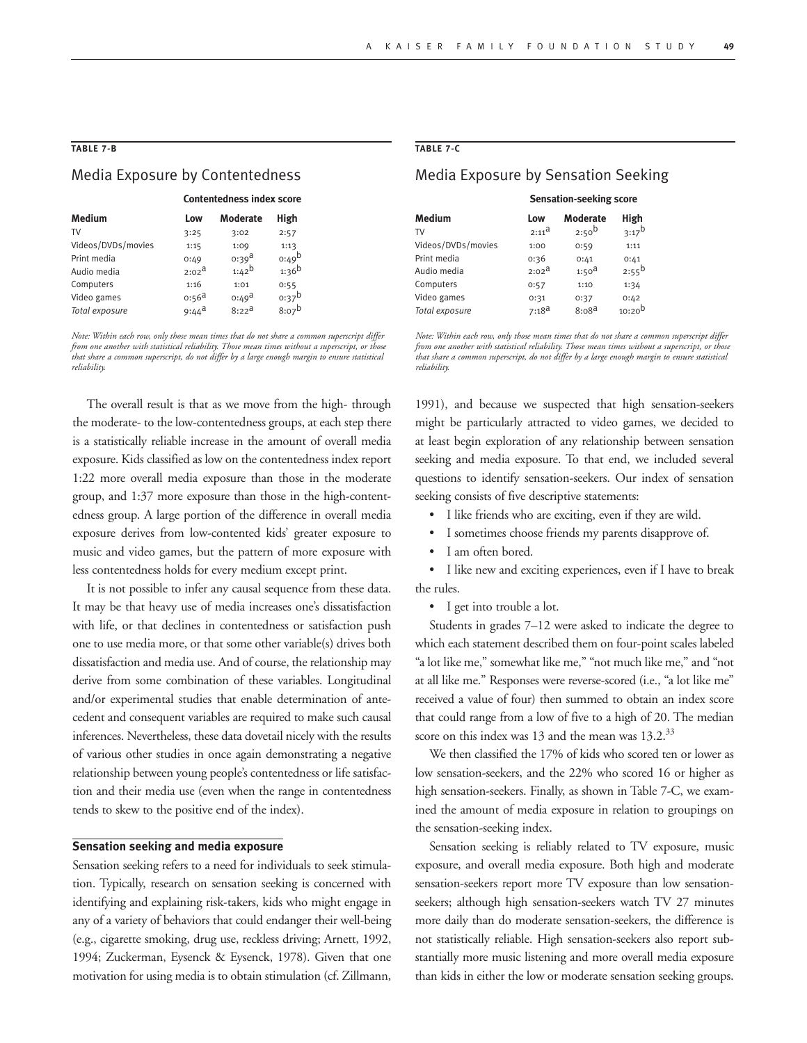### **TABLE 7-B**

# Media Exposure by Contentedness

|        |      | <b>Contentedness index score</b> |      |  |  |
|--------|------|----------------------------------|------|--|--|
| Medium | Low  | Moderate High                    |      |  |  |
| TV     | 3:25 | 3:02                             | 2:57 |  |  |

| Videos/DVDs/movies | 1:15              | 1:09              | 1:13       |
|--------------------|-------------------|-------------------|------------|
| Print media        | 0:49              | $0:39^{\text{d}}$ | $0:49^b$   |
| Audio media        | $2:02^{\text{a}}$ | $1:42^{b}$        | $1:36^{b}$ |
| Computers          | 1:16              | 1:01              | 0:55       |
| Video games        | $0:56^{\text{a}}$ | $0:49^{\text{d}}$ | $0:37^b$   |
| Total exposure     | $9:44^{\text{a}}$ | $8:22^{\text{d}}$ | $8:07^{b}$ |
|                    |                   |                   |            |

*Note: Within each row, only those mean times that do not share a common superscript differ from one another with statistical reliability. Those mean times without a superscript, or those that share a common superscript, do not differ by a large enough margin to ensure statistical reliability.*

The overall result is that as we move from the high- through the moderate- to the low-contentedness groups, at each step there is a statistically reliable increase in the amount of overall media exposure. Kids classified as low on the contentedness index report 1:22 more overall media exposure than those in the moderate group, and 1:37 more exposure than those in the high-contentedness group. A large portion of the difference in overall media exposure derives from low-contented kids' greater exposure to music and video games, but the pattern of more exposure with less contentedness holds for every medium except print.

It is not possible to infer any causal sequence from these data. It may be that heavy use of media increases one's dissatisfaction with life, or that declines in contentedness or satisfaction push one to use media more, or that some other variable(s) drives both dissatisfaction and media use. And of course, the relationship may derive from some combination of these variables. Longitudinal and/or experimental studies that enable determination of antecedent and consequent variables are required to make such causal inferences. Nevertheless, these data dovetail nicely with the results of various other studies in once again demonstrating a negative relationship between young people's contentedness or life satisfaction and their media use (even when the range in contentedness tends to skew to the positive end of the index).

# **Sensation seeking and media exposure**

Sensation seeking refers to a need for individuals to seek stimulation. Typically, research on sensation seeking is concerned with identifying and explaining risk-takers, kids who might engage in any of a variety of behaviors that could endanger their well-being (e.g., cigarette smoking, drug use, reckless driving; Arnett, 1992, 1994; Zuckerman, Eysenck & Eysenck, 1978). Given that one motivation for using media is to obtain stimulation (cf. Zillmann,

### **TABLE 7-C**

# Media Exposure by Sensation Seeking

|                    | <b>Sensation-seeking score</b> |                   |             |  |
|--------------------|--------------------------------|-------------------|-------------|--|
| Medium             | Low                            | <b>Moderate</b>   | High        |  |
| TV                 | $2:11^a$                       | $2:50^{b}$        | $3:17^{b}$  |  |
| Videos/DVDs/movies | 1:00                           | 0:59              | 1:11        |  |
| Print media        | 0:36                           | 0:41              | 0:41        |  |
| Audio media        | 2:02 <sup>d</sup>              | 1:50 <sup>d</sup> | $2:55^{b}$  |  |
| Computers          | 0:57                           | 1:10              | 1:34        |  |
| Video games        | 0:31                           | 0:37              | 0:42        |  |
| Total exposure     | $7:18^{\text{d}}$              | 8:08 <sup>d</sup> | $10:20^{b}$ |  |

*Note: Within each row, only those mean times that do not share a common superscript differ from one another with statistical reliability. Those mean times without a superscript, or those that share a common superscript, do not differ by a large enough margin to ensure statistical reliability.*

1991), and because we suspected that high sensation-seekers might be particularly attracted to video games, we decided to at least begin exploration of any relationship between sensation seeking and media exposure. To that end, we included several questions to identify sensation-seekers. Our index of sensation seeking consists of five descriptive statements:

- I like friends who are exciting, even if they are wild.
- I sometimes choose friends my parents disapprove of.
- I am often bored.

I like new and exciting experiences, even if I have to break the rules.

• I get into trouble a lot.

Students in grades 7–12 were asked to indicate the degree to which each statement described them on four-point scales labeled "a lot like me," somewhat like me," "not much like me," and "not at all like me." Responses were reverse-scored (i.e., "a lot like me" received a value of four) then summed to obtain an index score that could range from a low of five to a high of 20. The median score on this index was 13 and the mean was  $13.2.^{33}$ 

We then classified the 17% of kids who scored ten or lower as low sensation-seekers, and the 22% who scored 16 or higher as high sensation-seekers. Finally, as shown in Table 7-C, we examined the amount of media exposure in relation to groupings on the sensation-seeking index.

Sensation seeking is reliably related to TV exposure, music exposure, and overall media exposure. Both high and moderate sensation-seekers report more TV exposure than low sensationseekers; although high sensation-seekers watch TV 27 minutes more daily than do moderate sensation-seekers, the difference is not statistically reliable. High sensation-seekers also report substantially more music listening and more overall media exposure than kids in either the low or moderate sensation seeking groups.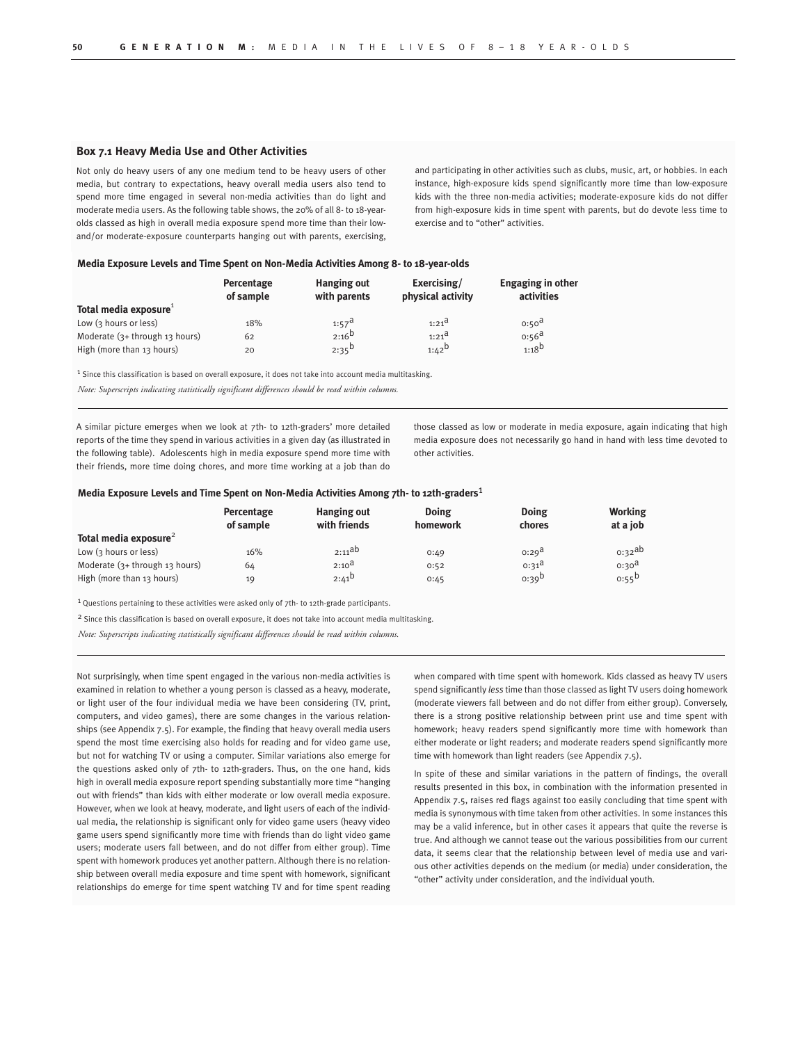### **Box 7.1 Heavy Media Use and Other Activities**

Not only do heavy users of any one medium tend to be heavy users of other media, but contrary to expectations, heavy overall media users also tend to spend more time engaged in several non-media activities than do light and moderate media users. As the following table shows, the 20% of all 8- to 18-yearolds classed as high in overall media exposure spend more time than their lowand/or moderate-exposure counterparts hanging out with parents, exercising, and participating in other activities such as clubs, music, art, or hobbies. In each instance, high-exposure kids spend significantly more time than low-exposure kids with the three non-media activities; moderate-exposure kids do not differ from high-exposure kids in time spent with parents, but do devote less time to exercise and to "other" activities.

#### **Media Exposure Levels and Time Spent on Non-Media Activities Among 8- to 18-year-olds**

|                                | Percentage<br>of sample | Hanging out<br>with parents | Exercising/<br>physical activity | Engaging in other<br>activities |
|--------------------------------|-------------------------|-----------------------------|----------------------------------|---------------------------------|
| Total media exposure           |                         |                             |                                  |                                 |
| Low (3 hours or less)          | 18%                     | $1:57^{\text{d}}$           | $1:21^{\text{d}}$                | 0:50 <sup>d</sup>               |
| Moderate (3+ through 13 hours) | 62                      | $2:16^{b}$                  | $1:21^{\text{d}}$                | $0:56^{\text{a}}$               |
| High (more than 13 hours)      | 20                      | $2:35^{b}$                  | $1:42^b$                         | $1:18^{b}$                      |

<sup>1</sup> Since this classification is based on overall exposure, it does not take into account media multitasking.

*Note: Superscripts indicating statistically significant differences should be read within columns.*

A similar picture emerges when we look at 7th- to 12th-graders' more detailed reports of the time they spend in various activities in a given day (as illustrated in the following table). Adolescents high in media exposure spend more time with their friends, more time doing chores, and more time working at a job than do those classed as low or moderate in media exposure, again indicating that high media exposure does not necessarily go hand in hand with less time devoted to other activities.

#### **Media Exposure Levels and Time Spent on Non-Media Activities Among 7th- to 12th-graders**1

|                                   | Percentage<br>of sample | Hanging out<br>with friends | Doing<br>homework | Doing<br>chores       | <b>Working</b><br>at a job |
|-----------------------------------|-------------------------|-----------------------------|-------------------|-----------------------|----------------------------|
| Total media exposure <sup>2</sup> |                         |                             |                   |                       |                            |
| Low (3 hours or less)             | 16%                     | $2:11^{ab}$                 | 0:49              | 0:29 <sup>d</sup>     | $0.32^{ab}$                |
| Moderate $(3+$ through 13 hours)  | 64                      | $2:10^{\text{a}}$           | 0:52              | $0:31^{\overline{d}}$ | 0:30 <sup>d</sup>          |
| High (more than 13 hours)         | 19                      | $2:41^{D}$                  | 0:45              | $0:39^{D}$            | $0:55^{D}$                 |

1 Questions pertaining to these activities were asked only of 7th- to 12th-grade participants.

<sup>2</sup> Since this classification is based on overall exposure, it does not take into account media multitasking.

*Note: Superscripts indicating statistically significant differences should be read within columns.*

Not surprisingly, when time spent engaged in the various non-media activities is examined in relation to whether a young person is classed as a heavy, moderate, or light user of the four individual media we have been considering (TV, print, computers, and video games), there are some changes in the various relationships (see Appendix 7.5). For example, the finding that heavy overall media users spend the most time exercising also holds for reading and for video game use, but not for watching TV or using a computer. Similar variations also emerge for the questions asked only of 7th- to 12th-graders. Thus, on the one hand, kids high in overall media exposure report spending substantially more time "hanging out with friends" than kids with either moderate or low overall media exposure. However, when we look at heavy, moderate, and light users of each of the individual media, the relationship is significant only for video game users (heavy video game users spend significantly more time with friends than do light video game users; moderate users fall between, and do not differ from either group). Time spent with homework produces yet another pattern. Although there is no relationship between overall media exposure and time spent with homework, significant relationships do emerge for time spent watching TV and for time spent reading when compared with time spent with homework. Kids classed as heavy TV users spend significantly *less* time than those classed as light TV users doing homework (moderate viewers fall between and do not differ from either group). Conversely, there is a strong positive relationship between print use and time spent with homework; heavy readers spend significantly more time with homework than either moderate or light readers; and moderate readers spend significantly more time with homework than light readers (see Appendix 7.5).

In spite of these and similar variations in the pattern of findings, the overall results presented in this box, in combination with the information presented in Appendix 7.5, raises red flags against too easily concluding that time spent with media is synonymous with time taken from other activities. In some instances this may be a valid inference, but in other cases it appears that quite the reverse is true. And although we cannot tease out the various possibilities from our current data, it seems clear that the relationship between level of media use and various other activities depends on the medium (or media) under consideration, the "other" activity under consideration, and the individual youth.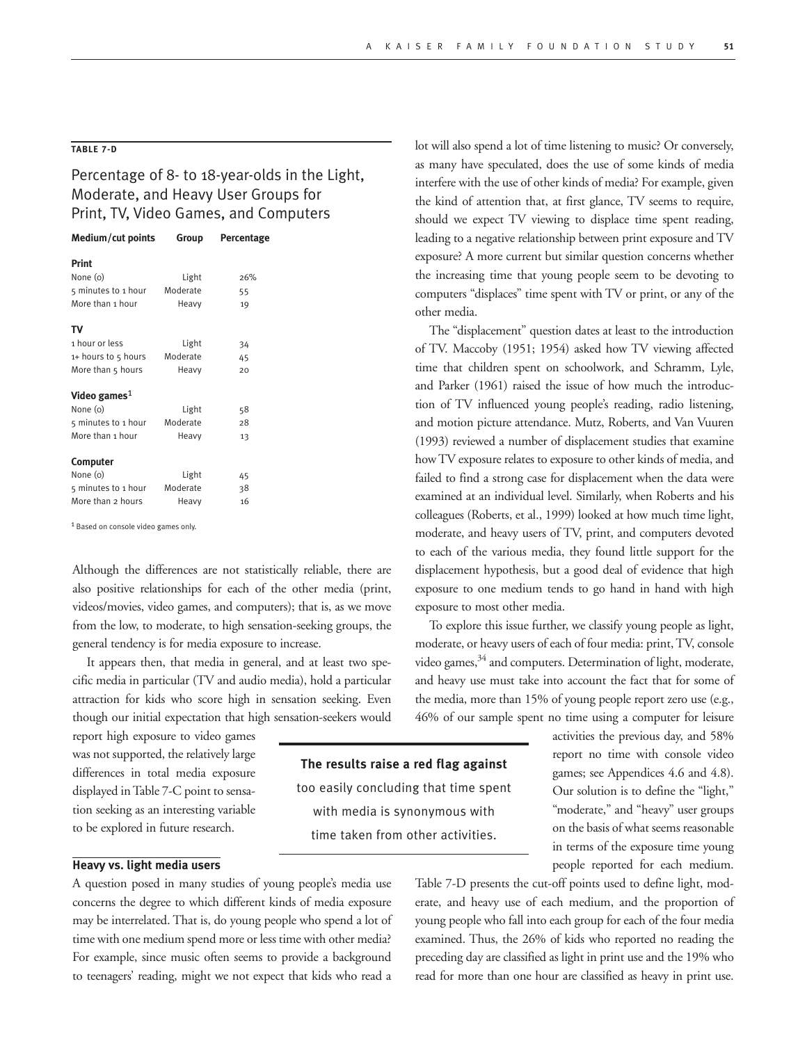# **TABLE 7-D**

# Percentage of 8- to 18-year-olds in the Light, Moderate, and Heavy User Groups for Print, TV, Video Games, and Computers

| Medium/cut points   | Group    | Percentage |
|---------------------|----------|------------|
| <b>Print</b>        |          |            |
| None (o)            | Light    | 26%        |
| 5 minutes to 1 hour | Moderate | 55         |
| More than 1 hour    | Heavy    | 19         |
| т٧                  |          |            |
| 1 hour or less      | Light    | 34         |
| 1+ hours to 5 hours | Moderate | 45         |
| More than 5 hours   | Heavy    | 20         |
| Video games $1$     |          |            |
| None (o)            | Light    | 58         |
| 5 minutes to 1 hour | Moderate | 28         |
| More than 1 hour    | Heavy    | 13         |
| Computer            |          |            |
| None (o)            | Light    | 45         |
| 5 minutes to 1 hour | Moderate | 38         |
| More than 2 hours   | Heavy    | 16         |

1 Based on console video games only.

Although the differences are not statistically reliable, there are also positive relationships for each of the other media (print, videos/movies, video games, and computers); that is, as we move from the low, to moderate, to high sensation-seeking groups, the general tendency is for media exposure to increase.

It appears then, that media in general, and at least two specific media in particular (TV and audio media), hold a particular attraction for kids who score high in sensation seeking. Even though our initial expectation that high sensation-seekers would

report high exposure to video games was not supported, the relatively large differences in total media exposure displayed in Table 7-C point to sensation seeking as an interesting variable to be explored in future research.

# **Heavy vs. light media users**

A question posed in many studies of young people's media use concerns the degree to which different kinds of media exposure may be interrelated. That is, do young people who spend a lot of time with one medium spend more or less time with other media? For example, since music often seems to provide a background to teenagers' reading, might we not expect that kids who read a

lot will also spend a lot of time listening to music? Or conversely, as many have speculated, does the use of some kinds of media interfere with the use of other kinds of media? For example, given the kind of attention that, at first glance, TV seems to require, should we expect TV viewing to displace time spent reading, leading to a negative relationship between print exposure and TV exposure? A more current but similar question concerns whether the increasing time that young people seem to be devoting to computers "displaces" time spent with TV or print, or any of the other media.

The "displacement" question dates at least to the introduction of TV. Maccoby (1951; 1954) asked how TV viewing affected time that children spent on schoolwork, and Schramm, Lyle, and Parker (1961) raised the issue of how much the introduction of TV influenced young people's reading, radio listening, and motion picture attendance. Mutz, Roberts, and Van Vuuren (1993) reviewed a number of displacement studies that examine how TV exposure relates to exposure to other kinds of media, and failed to find a strong case for displacement when the data were examined at an individual level. Similarly, when Roberts and his colleagues (Roberts, et al., 1999) looked at how much time light, moderate, and heavy users of TV, print, and computers devoted to each of the various media, they found little support for the displacement hypothesis, but a good deal of evidence that high exposure to one medium tends to go hand in hand with high exposure to most other media.

To explore this issue further, we classify young people as light, moderate, or heavy users of each of four media: print, TV, console video games, $34$  and computers. Determination of light, moderate, and heavy use must take into account the fact that for some of the media, more than 15% of young people report zero use (e.g., 46% of our sample spent no time using a computer for leisure

**The results raise a red flag against**  too easily concluding that time spent with media is synonymous with time taken from other activities.

activities the previous day, and 58% report no time with console video games; see Appendices 4.6 and 4.8). Our solution is to define the "light," "moderate," and "heavy" user groups on the basis of what seems reasonable in terms of the exposure time young people reported for each medium.

Table 7-D presents the cut-off points used to define light, moderate, and heavy use of each medium, and the proportion of young people who fall into each group for each of the four media examined. Thus, the 26% of kids who reported no reading the preceding day are classified as light in print use and the 19% who read for more than one hour are classified as heavy in print use.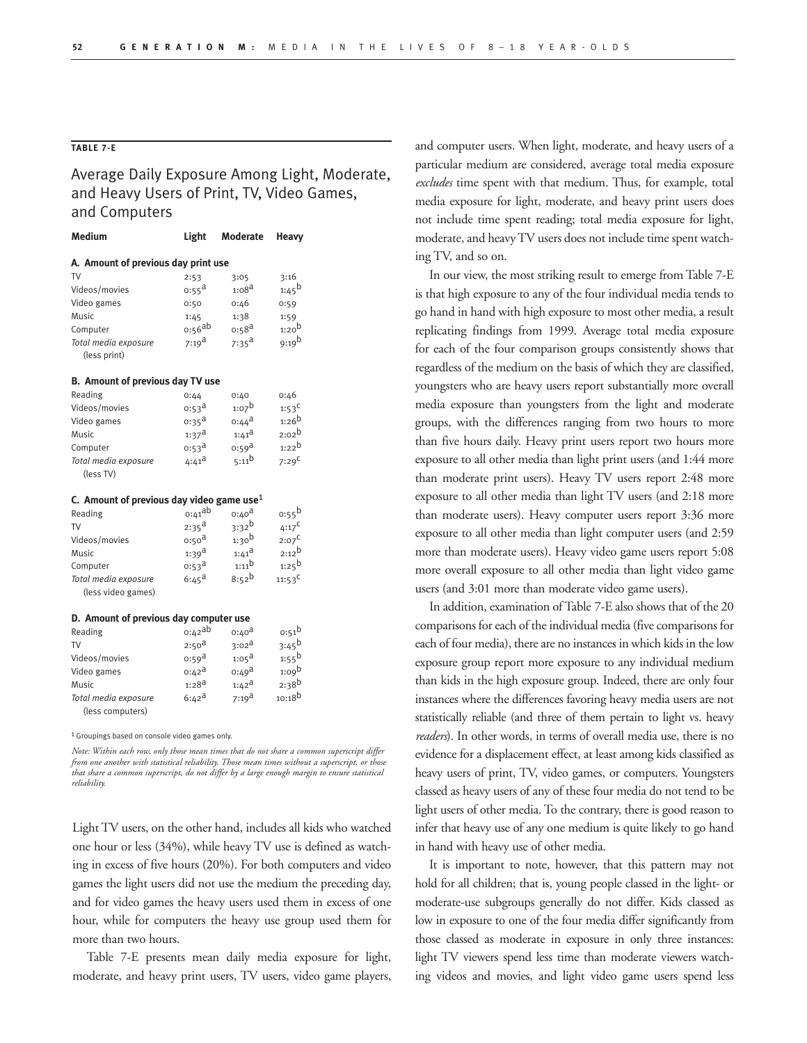# **TABLE 7-E**

Average Daily Exposure Among Light, Moderate, and Heavy Users of Print, TV, Video Games, and Computers

| <b>Medium</b>                                | Light                 | <b>Moderate</b>       | Heavy               |  |  |  |
|----------------------------------------------|-----------------------|-----------------------|---------------------|--|--|--|
| A. Amount of previous day print use          |                       |                       |                     |  |  |  |
| <b>TV</b>                                    | 2:53                  | 3:05                  | 3:16                |  |  |  |
| Videos/movies                                | $0:55^{\text{a}}$     | 1:08 <sup>d</sup>     | $1:45^{b}$          |  |  |  |
| Video games                                  | 0:50                  | 0:46                  | 0:59                |  |  |  |
| Music                                        | 1:45                  | 1:38                  | 1:59                |  |  |  |
| Computer                                     | $0.56$ ab             | $0:58^{\text{a}}$     | $1:20^{\mathsf{b}}$ |  |  |  |
| Total media exposure<br>(less print)         | $7:19^{\text{a}}$     | $7:35^{\text{a}}$     | 9:19 <sup>b</sup>   |  |  |  |
|                                              |                       |                       |                     |  |  |  |
| B. Amount of previous day TV use             |                       |                       |                     |  |  |  |
| Reading                                      | 0:44                  | 0:40                  | 0:46                |  |  |  |
| Videos/movies                                | 0.53 <sup>d</sup>     | $1:07^{b}$            | $1:53^C$            |  |  |  |
| Video games                                  | $0:35^{\text{a}}$     | $0:44^{\text{a}}$     | $1:26^{b}$          |  |  |  |
| Music                                        | $1:37^{\text{a}}$     | $1:41^{\text{a}}$     | $2:02^b$            |  |  |  |
| Computer                                     | $0:53^{\overline{a}}$ | 0:59 <sup>a</sup>     | $1:22^{b}$          |  |  |  |
| Total media exposure                         | $4:41^{\text{d}}$     | $5:11^{b}$            | 7:29 <sup>C</sup>   |  |  |  |
| (less TV)                                    |                       |                       |                     |  |  |  |
| C. Amount of previous day video game use $1$ |                       |                       |                     |  |  |  |
| Reading                                      | $0:41^{ab}$           | $0:40^{\text{a}}$     | o:55 <sup>b</sup>   |  |  |  |
| <b>TV</b>                                    | $2:35^{\text{a}}$     | $3:32^{b}$            | $4:17^C$            |  |  |  |
| Videos/movies                                | 0:50 <sup>d</sup>     | $1:30^{b}$            | $2:07^C$            |  |  |  |
| Music                                        | $1:39^{\text{a}}$     | $1:41^{\text{d}}$     | $2:12^{b}$          |  |  |  |
| Computer                                     | $0:53^{\text{a}}$     | $1:11^{b}$            | $1:25^{b}$          |  |  |  |
| Total media exposure                         | $6:45^{\text{a}}$     | $8:52^b$              | $11:53^C$           |  |  |  |
| (less video games)                           |                       |                       |                     |  |  |  |
| D. Amount of previous day computer use       |                       |                       |                     |  |  |  |
| Reading                                      | 0:42ab                | $0:40^{\text{d}}$     | $0:51^{b}$          |  |  |  |
| TV                                           | 2:50 <sup>d</sup>     | $3:02^{\overline{d}}$ | 3:45 <sup>b</sup>   |  |  |  |
| Videos/movies                                | $0:59^{\text{a}}$     | $1:05^{\text{a}}$     | $1:55^{b}$          |  |  |  |
| Video games                                  | $0:42^{\mathsf{d}}$   | $0:49^{\text{a}}$     | 1:09 <sup>b</sup>   |  |  |  |
| <b>Music</b>                                 | $1:28^{d}$            | $1:42^{\text{a}}$     | $2:38^{b}$          |  |  |  |
| Total media exposure                         | $6:42^{\text{a}}$     | $7:19^{\text{a}}$     | $10:18^{b}$         |  |  |  |
| (less computers)                             |                       |                       |                     |  |  |  |

1 Groupings based on console video games only.

*Note: Within each row, only those mean times that do not share a common superscript differ from one another with statistical reliability. Those mean times without a superscript, or those that share a common superscript, do not differ by a large enough margin to ensure statistical reliability.*

Light TV users, on the other hand, includes all kids who watched one hour or less (34%), while heavy TV use is defined as watching in excess of five hours (20%). For both computers and video games the light users did not use the medium the preceding day, and for video games the heavy users used them in excess of one hour, while for computers the heavy use group used them for more than two hours.

Table 7-E presents mean daily media exposure for light, moderate, and heavy print users, TV users, video game players, and computer users. When light, moderate, and heavy users of a particular medium are considered, average total media exposure *excludes* time spent with that medium. Thus, for example, total media exposure for light, moderate, and heavy print users does not include time spent reading; total media exposure for light, moderate, and heavy TV users does not include time spent watching TV, and so on.

In our view, the most striking result to emerge from Table 7-E is that high exposure to any of the four individual media tends to go hand in hand with high exposure to most other media, a result replicating findings from 1999. Average total media exposure for each of the four comparison groups consistently shows that regardless of the medium on the basis of which they are classified, youngsters who are heavy users report substantially more overall media exposure than youngsters from the light and moderate groups, with the differences ranging from two hours to more than five hours daily. Heavy print users report two hours more exposure to all other media than light print users (and 1:44 more than moderate print users). Heavy TV users report 2:48 more exposure to all other media than light TV users (and 2:18 more than moderate users). Heavy computer users report 3:36 more exposure to all other media than light computer users (and 2:59 more than moderate users). Heavy video game users report 5:08 more overall exposure to all other media than light video game users (and 3:01 more than moderate video game users).

In addition, examination of Table 7-E also shows that of the 20 comparisons for each of the individual media (five comparisons for each of four media), there are no instances in which kids in the low exposure group report more exposure to any individual medium than kids in the high exposure group. Indeed, there are only four instances where the differences favoring heavy media users are not statistically reliable (and three of them pertain to light vs. heavy *readers*). In other words, in terms of overall media use, there is no evidence for a displacement effect, at least among kids classified as heavy users of print, TV, video games, or computers. Youngsters classed as heavy users of any of these four media do not tend to be light users of other media. To the contrary, there is good reason to infer that heavy use of any one medium is quite likely to go hand in hand with heavy use of other media.

It is important to note, however, that this pattern may not hold for all children; that is, young people classed in the light- or moderate-use subgroups generally do not differ. Kids classed as low in exposure to one of the four media differ significantly from those classed as moderate in exposure in only three instances: light TV viewers spend less time than moderate viewers watching videos and movies, and light video game users spend less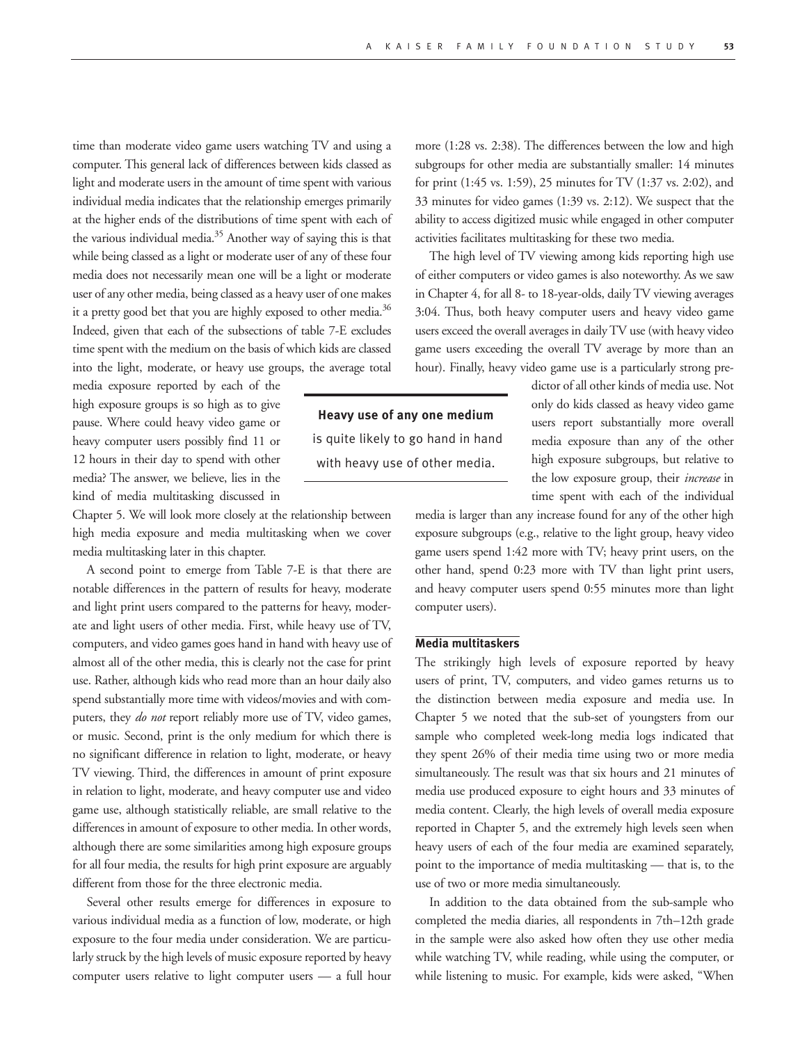time than moderate video game users watching TV and using a computer. This general lack of differences between kids classed as light and moderate users in the amount of time spent with various individual media indicates that the relationship emerges primarily at the higher ends of the distributions of time spent with each of the various individual media.<sup>35</sup> Another way of saying this is that while being classed as a light or moderate user of any of these four media does not necessarily mean one will be a light or moderate user of any other media, being classed as a heavy user of one makes it a pretty good bet that you are highly exposed to other media.<sup>36</sup> Indeed, given that each of the subsections of table 7-E excludes time spent with the medium on the basis of which kids are classed into the light, moderate, or heavy use groups, the average total

media exposure reported by each of the high exposure groups is so high as to give pause. Where could heavy video game or heavy computer users possibly find 11 or 12 hours in their day to spend with other media? The answer, we believe, lies in the kind of media multitasking discussed in

Chapter 5. We will look more closely at the relationship between high media exposure and media multitasking when we cover media multitasking later in this chapter.

A second point to emerge from Table 7-E is that there are notable differences in the pattern of results for heavy, moderate and light print users compared to the patterns for heavy, moderate and light users of other media. First, while heavy use of TV, computers, and video games goes hand in hand with heavy use of almost all of the other media, this is clearly not the case for print use. Rather, although kids who read more than an hour daily also spend substantially more time with videos/movies and with computers, they *do not* report reliably more use of TV, video games, or music. Second, print is the only medium for which there is no significant difference in relation to light, moderate, or heavy TV viewing. Third, the differences in amount of print exposure in relation to light, moderate, and heavy computer use and video game use, although statistically reliable, are small relative to the differences in amount of exposure to other media. In other words, although there are some similarities among high exposure groups for all four media, the results for high print exposure are arguably different from those for the three electronic media.

Several other results emerge for differences in exposure to various individual media as a function of low, moderate, or high exposure to the four media under consideration. We are particularly struck by the high levels of music exposure reported by heavy computer users relative to light computer users — a full hour more (1:28 vs. 2:38). The differences between the low and high subgroups for other media are substantially smaller: 14 minutes for print (1:45 vs. 1:59), 25 minutes for TV (1:37 vs. 2:02), and 33 minutes for video games (1:39 vs. 2:12). We suspect that the ability to access digitized music while engaged in other computer activities facilitates multitasking for these two media.

The high level of TV viewing among kids reporting high use of either computers or video games is also noteworthy. As we saw in Chapter 4, for all 8- to 18-year-olds, daily TV viewing averages 3:04. Thus, both heavy computer users and heavy video game users exceed the overall averages in daily TV use (with heavy video game users exceeding the overall TV average by more than an hour). Finally, heavy video game use is a particularly strong pre-

**Heavy use of any one medium** is quite likely to go hand in hand with heavy use of other media.

dictor of all other kinds of media use. Not only do kids classed as heavy video game users report substantially more overall media exposure than any of the other high exposure subgroups, but relative to the low exposure group, their *increase* in time spent with each of the individual

media is larger than any increase found for any of the other high exposure subgroups (e.g., relative to the light group, heavy video game users spend 1:42 more with TV; heavy print users, on the other hand, spend 0:23 more with TV than light print users, and heavy computer users spend 0:55 minutes more than light computer users).

# **Media multitaskers**

The strikingly high levels of exposure reported by heavy users of print, TV, computers, and video games returns us to the distinction between media exposure and media use. In Chapter 5 we noted that the sub-set of youngsters from our sample who completed week-long media logs indicated that they spent 26% of their media time using two or more media simultaneously. The result was that six hours and 21 minutes of media use produced exposure to eight hours and 33 minutes of media content. Clearly, the high levels of overall media exposure reported in Chapter 5, and the extremely high levels seen when heavy users of each of the four media are examined separately, point to the importance of media multitasking — that is, to the use of two or more media simultaneously.

In addition to the data obtained from the sub-sample who completed the media diaries, all respondents in 7th–12th grade in the sample were also asked how often they use other media while watching TV, while reading, while using the computer, or while listening to music. For example, kids were asked, "When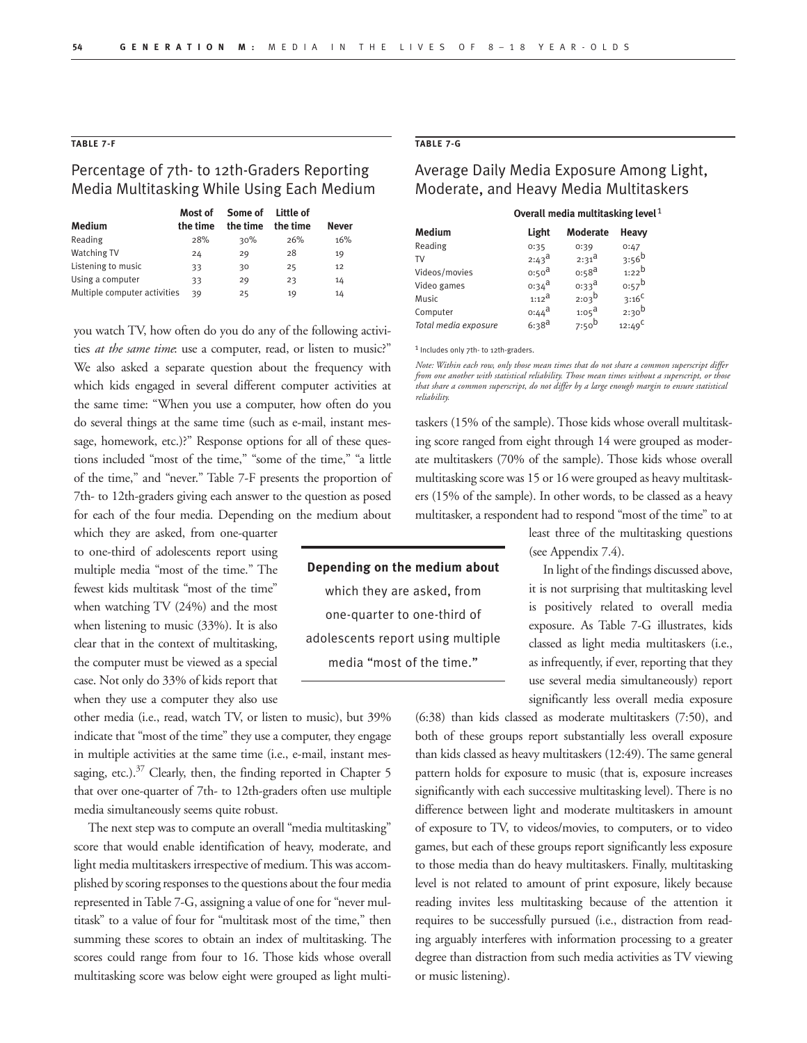## **TABLE 7-F**

# Percentage of 7th- to 12th-Graders Reporting Media Multitasking While Using Each Medium

|                              | Most of  | Some of Little of |          |              |
|------------------------------|----------|-------------------|----------|--------------|
| Medium                       | the time | the time          | the time | <b>Never</b> |
| Reading                      | 28%      | 30%               | 26%      | 16%          |
| <b>Watching TV</b>           | 24       | 29                | 28       | 19           |
| Listening to music           | 33       | 30                | 25       | 12           |
| Using a computer             | 33       | 29                | 23       | 14           |
| Multiple computer activities | 39       | 25                | 19       | 14           |

you watch TV, how often do you do any of the following activities *at the same time*: use a computer, read, or listen to music?" We also asked a separate question about the frequency with which kids engaged in several different computer activities at the same time: "When you use a computer, how often do you do several things at the same time (such as e-mail, instant message, homework, etc.)?" Response options for all of these questions included "most of the time," "some of the time," "a little of the time," and "never." Table 7-F presents the proportion of 7th- to 12th-graders giving each answer to the question as posed for each of the four media. Depending on the medium about

which they are asked, from one-quarter to one-third of adolescents report using multiple media "most of the time." The fewest kids multitask "most of the time" when watching TV (24%) and the most when listening to music (33%). It is also clear that in the context of multitasking, the computer must be viewed as a special case. Not only do 33% of kids report that when they use a computer they also use

other media (i.e., read, watch TV, or listen to music), but 39% indicate that "most of the time" they use a computer, they engage in multiple activities at the same time (i.e., e-mail, instant messaging, etc.).<sup>37</sup> Clearly, then, the finding reported in Chapter 5 that over one-quarter of 7th- to 12th-graders often use multiple media simultaneously seems quite robust.

The next step was to compute an overall "media multitasking" score that would enable identification of heavy, moderate, and light media multitaskers irrespective of medium. This was accomplished by scoring responses to the questions about the four media represented in Table 7-G, assigning a value of one for "never multitask" to a value of four for "multitask most of the time," then summing these scores to obtain an index of multitasking. The scores could range from four to 16. Those kids whose overall multitasking score was below eight were grouped as light multi-

# **TABLE 7-G**

# Average Daily Media Exposure Among Light, Moderate, and Heavy Media Multitaskers

|  |  | Overall media multitasking level $1$ |
|--|--|--------------------------------------|
|--|--|--------------------------------------|

| Medium               | Light             | <b>Moderate</b>       | Heavy      |
|----------------------|-------------------|-----------------------|------------|
| Reading              | 0:35              | 0:39                  | 0:47       |
| TV                   | $2:43^{\text{d}}$ | $2:31^{\text{d}}$     | $3:56^{b}$ |
| Videos/movies        | 0:50 <sup>d</sup> | $0:58^{\text{a}}$     | $1:22^{b}$ |
| Video games          | $0:34^{\text{d}}$ | $0:33^{\overline{d}}$ | $0:57^b$   |
| Music                | $1:12^a$          | $2:03^{b}$            | $3:16^C$   |
| Computer             | $0:44^{\text{d}}$ | $1:05^{\text{a}}$     | $2:30^{b}$ |
| Total media exposure | $6:38^{a}$        | 7:50 <sup>b</sup>     | $12:49^C$  |
|                      |                   |                       |            |

1 Includes only 7th- to 12th-graders.

**Depending on the medium about** which they are asked, from one-quarter to one-third of adolescents report using multiple media "most of the time."

*Note: Within each row, only those mean times that do not share a common superscript differ from one another with statistical reliability. Those mean times without a superscript, or those that share a common superscript, do not differ by a large enough margin to ensure statistical reliability.*

taskers (15% of the sample). Those kids whose overall multitasking score ranged from eight through 14 were grouped as moderate multitaskers (70% of the sample). Those kids whose overall multitasking score was 15 or 16 were grouped as heavy multitaskers (15% of the sample). In other words, to be classed as a heavy multitasker, a respondent had to respond "most of the time" to at

> least three of the multitasking questions (see Appendix 7.4).

In light of the findings discussed above, it is not surprising that multitasking level is positively related to overall media exposure. As Table 7-G illustrates, kids classed as light media multitaskers (i.e., as infrequently, if ever, reporting that they use several media simultaneously) report significantly less overall media exposure

(6:38) than kids classed as moderate multitaskers (7:50), and both of these groups report substantially less overall exposure than kids classed as heavy multitaskers (12:49). The same general pattern holds for exposure to music (that is, exposure increases significantly with each successive multitasking level). There is no difference between light and moderate multitaskers in amount of exposure to TV, to videos/movies, to computers, or to video games, but each of these groups report significantly less exposure to those media than do heavy multitaskers. Finally, multitasking level is not related to amount of print exposure, likely because reading invites less multitasking because of the attention it requires to be successfully pursued (i.e., distraction from reading arguably interferes with information processing to a greater degree than distraction from such media activities as TV viewing or music listening).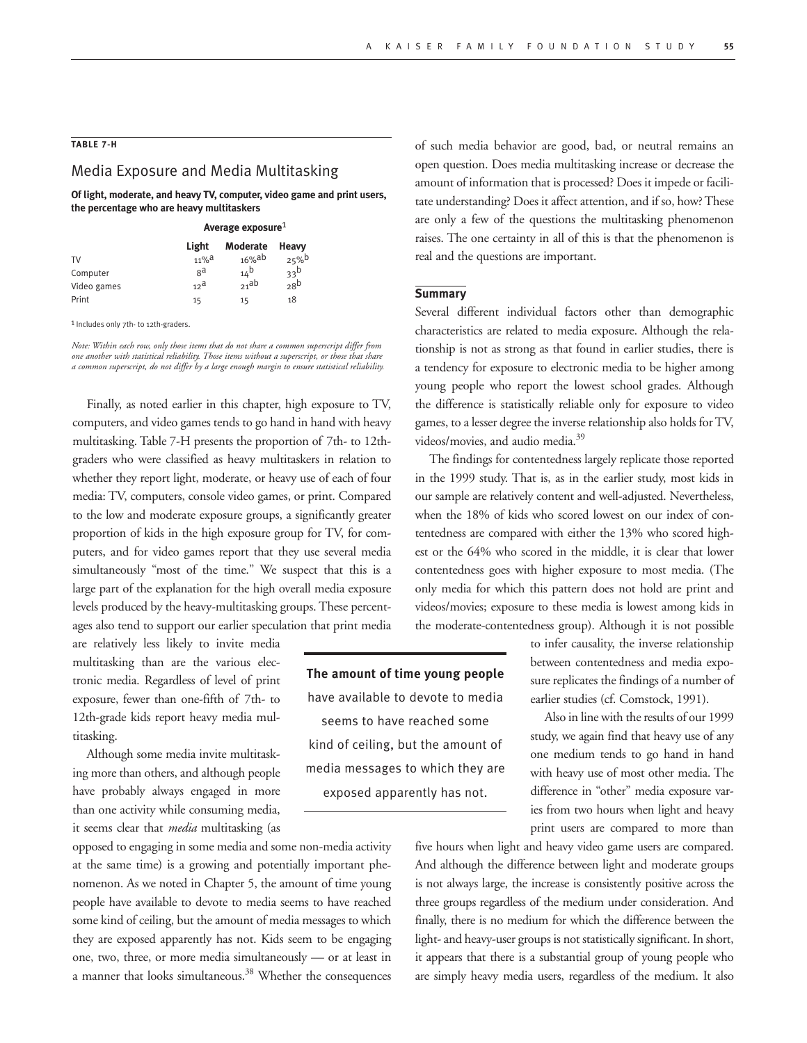## **TABLE 7-H**

# Media Exposure and Media Multitasking

 **Of light, moderate, and heavy TV, computer, video game and print users, the percentage who are heavy multitaskers**

|             | Average exposure <sup>1</sup> |                 |                 |  |
|-------------|-------------------------------|-----------------|-----------------|--|
|             | Light                         | <b>Moderate</b> | Heavy           |  |
| TV          | $11\%$ <sup>a</sup>           | $16\%$ ab       | 25%             |  |
| Computer    | ga                            | $14^{b}$        | 33 <sup>b</sup> |  |
| Video games | 12 <sup>a</sup>               | 21ab            | 28 <sup>b</sup> |  |
| Print       | 15                            | 15              | 18              |  |

1 Includes only 7th- to 12th-graders.

*Note: Within each row, only those items that do not share a common superscript differ from one another with statistical reliability. Those items without a superscript, or those that share a common superscript, do not differ by a large enough margin to ensure statistical reliability.* 

Finally, as noted earlier in this chapter, high exposure to TV, computers, and video games tends to go hand in hand with heavy multitasking. Table 7-H presents the proportion of 7th- to 12thgraders who were classified as heavy multitaskers in relation to whether they report light, moderate, or heavy use of each of four media: TV, computers, console video games, or print. Compared to the low and moderate exposure groups, a significantly greater proportion of kids in the high exposure group for TV, for computers, and for video games report that they use several media simultaneously "most of the time." We suspect that this is a large part of the explanation for the high overall media exposure levels produced by the heavy-multitasking groups. These percentages also tend to support our earlier speculation that print media

are relatively less likely to invite media multitasking than are the various electronic media. Regardless of level of print exposure, fewer than one-fifth of 7th- to 12th-grade kids report heavy media multitasking.

Although some media invite multitasking more than others, and although people have probably always engaged in more than one activity while consuming media, it seems clear that *media* multitasking (as

opposed to engaging in some media and some non-media activity at the same time) is a growing and potentially important phenomenon. As we noted in Chapter 5, the amount of time young people have available to devote to media seems to have reached some kind of ceiling, but the amount of media messages to which they are exposed apparently has not. Kids seem to be engaging one, two, three, or more media simultaneously — or at least in a manner that looks simultaneous.<sup>38</sup> Whether the consequences

**The amount of time young people** have available to devote to media seems to have reached some kind of ceiling, but the amount of media messages to which they are exposed apparently has not.

of such media behavior are good, bad, or neutral remains an open question. Does media multitasking increase or decrease the amount of information that is processed? Does it impede or facilitate understanding? Does it affect attention, and if so, how? These are only a few of the questions the multitasking phenomenon raises. The one certainty in all of this is that the phenomenon is real and the questions are important.

### **Summary**

Several different individual factors other than demographic characteristics are related to media exposure. Although the relationship is not as strong as that found in earlier studies, there is a tendency for exposure to electronic media to be higher among young people who report the lowest school grades. Although the difference is statistically reliable only for exposure to video games, to a lesser degree the inverse relationship also holds for TV, videos/movies, and audio media.39

The findings for contentedness largely replicate those reported in the 1999 study. That is, as in the earlier study, most kids in our sample are relatively content and well-adjusted. Nevertheless, when the 18% of kids who scored lowest on our index of contentedness are compared with either the 13% who scored highest or the 64% who scored in the middle, it is clear that lower contentedness goes with higher exposure to most media. (The only media for which this pattern does not hold are print and videos/movies; exposure to these media is lowest among kids in the moderate-contentedness group). Although it is not possible

> to infer causality, the inverse relationship between contentedness and media exposure replicates the findings of a number of earlier studies (cf. Comstock, 1991).

> Also in line with the results of our 1999 study, we again find that heavy use of any one medium tends to go hand in hand with heavy use of most other media. The difference in "other" media exposure varies from two hours when light and heavy print users are compared to more than

five hours when light and heavy video game users are compared. And although the difference between light and moderate groups is not always large, the increase is consistently positive across the three groups regardless of the medium under consideration. And finally, there is no medium for which the difference between the light- and heavy-user groups is not statistically significant. In short, it appears that there is a substantial group of young people who are simply heavy media users, regardless of the medium. It also